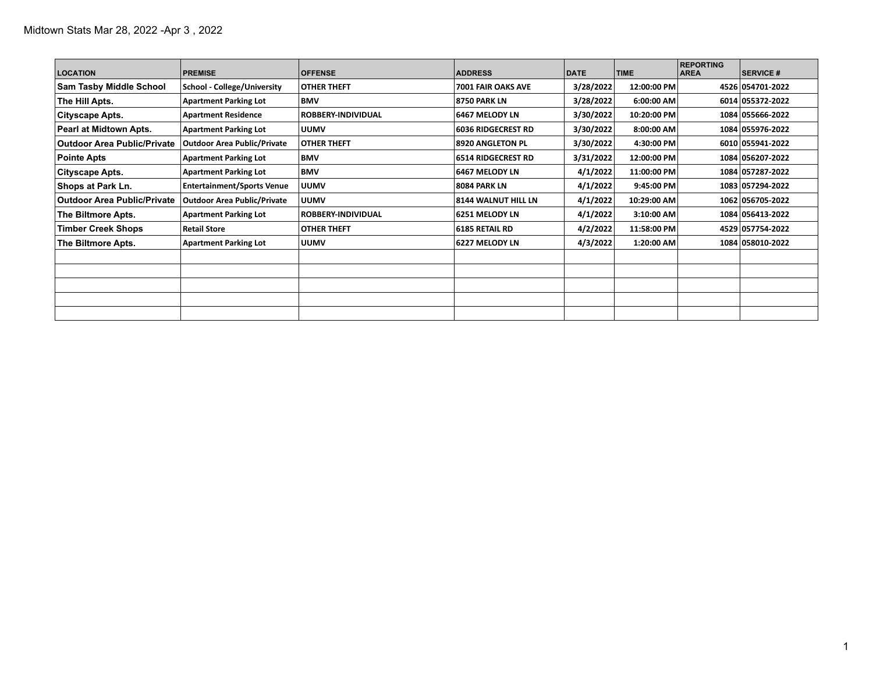| <b>LOCATION</b>                    | <b>PREMISE</b>                     | <b>OFFENSE</b>            | <b>ADDRESS</b>            | DATE      | <b>TIME</b> | <b>REPORTING</b><br><b>AREA</b> | <b>SERVICE #</b> |
|------------------------------------|------------------------------------|---------------------------|---------------------------|-----------|-------------|---------------------------------|------------------|
| <b>Sam Tasby Middle School</b>     | <b>School - College/University</b> | <b>OTHER THEFT</b>        | 7001 FAIR OAKS AVE        | 3/28/2022 | 12:00:00 PM |                                 | 4526 054701-2022 |
| The Hill Apts.                     | <b>Apartment Parking Lot</b>       | BMV                       | 18750 PARK LN             | 3/28/2022 | 6:00:00 AM  |                                 | 6014 055372-2022 |
| Cityscape Apts.                    | <b>Apartment Residence</b>         | <b>ROBBERY-INDIVIDUAL</b> | 6467 MELODY LN            | 3/30/2022 | 10:20:00 PM |                                 | 1084 055666-2022 |
| Pearl at Midtown Apts.             | <b>Apartment Parking Lot</b>       | <b>UUMV</b>               | <b>6036 RIDGECREST RD</b> | 3/30/2022 | 8:00:00 AM  |                                 | 1084 055976-2022 |
| <b>Outdoor Area Public/Private</b> | <b>Outdoor Area Public/Private</b> | <b>OTHER THEFT</b>        | <b>8920 ANGLETON PL</b>   | 3/30/2022 | 4:30:00 PM  |                                 | 6010 055941-2022 |
| <b>Pointe Apts</b>                 | <b>Apartment Parking Lot</b>       | <b>BMV</b>                | <b>6514 RIDGECREST RD</b> | 3/31/2022 | 12:00:00 PM |                                 | 1084 056207-2022 |
| Cityscape Apts.                    | <b>Apartment Parking Lot</b>       | BMV                       | 6467 MELODY LN            | 4/1/2022  | 11:00:00 PM |                                 | 1084 057287-2022 |
| Shops at Park Ln.                  | <b>Entertainment/Sports Venue</b>  | <b>UUMV</b>               | <b>8084 PARK LN</b>       | 4/1/2022  | 9:45:00 PM  |                                 | 1083 057294-2022 |
| <b>Outdoor Area Public/Private</b> | <b>Outdoor Area Public/Private</b> | <b>UUMV</b>               | 8144 WALNUT HILL LN       | 4/1/2022  | 10:29:00 AM |                                 | 1062 056705-2022 |
| The Biltmore Apts.                 | <b>Apartment Parking Lot</b>       | <b>ROBBERY-INDIVIDUAL</b> | 6251 MELODY LN            | 4/1/2022  | 3:10:00 AM  |                                 | 1084 056413-2022 |
| <b>Timber Creek Shops</b>          | <b>Retail Store</b>                | <b>OTHER THEFT</b>        | 6185 RETAIL RD            | 4/2/2022  | 11:58:00 PM |                                 | 4529 057754-2022 |
| The Biltmore Apts.                 | <b>Apartment Parking Lot</b>       | <b>UUMV</b>               | 6227 MELODY LN            | 4/3/2022  | 1:20:00 AM  |                                 | 1084 058010-2022 |
|                                    |                                    |                           |                           |           |             |                                 |                  |
|                                    |                                    |                           |                           |           |             |                                 |                  |
|                                    |                                    |                           |                           |           |             |                                 |                  |
|                                    |                                    |                           |                           |           |             |                                 |                  |
|                                    |                                    |                           |                           |           |             |                                 |                  |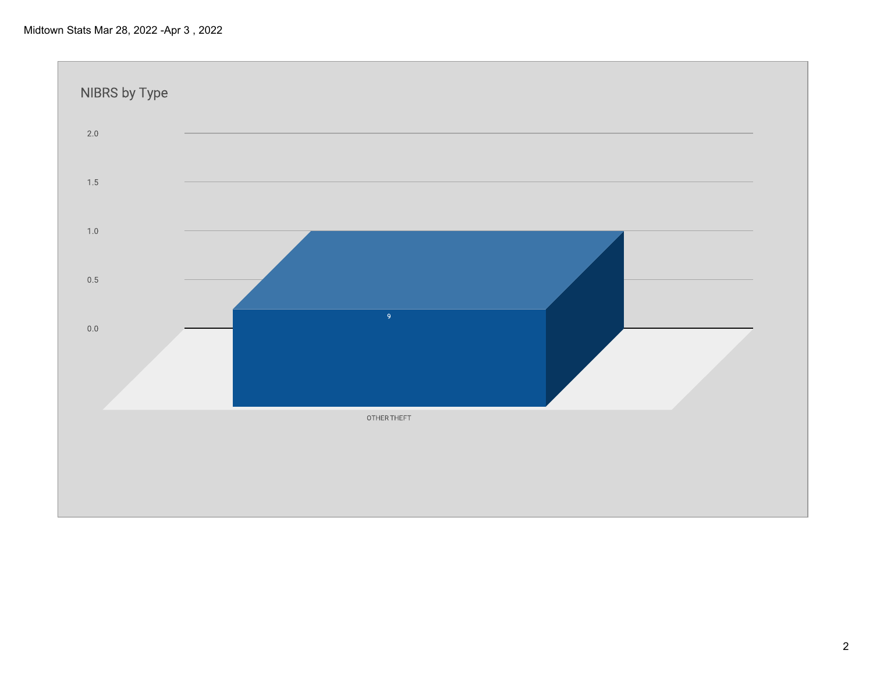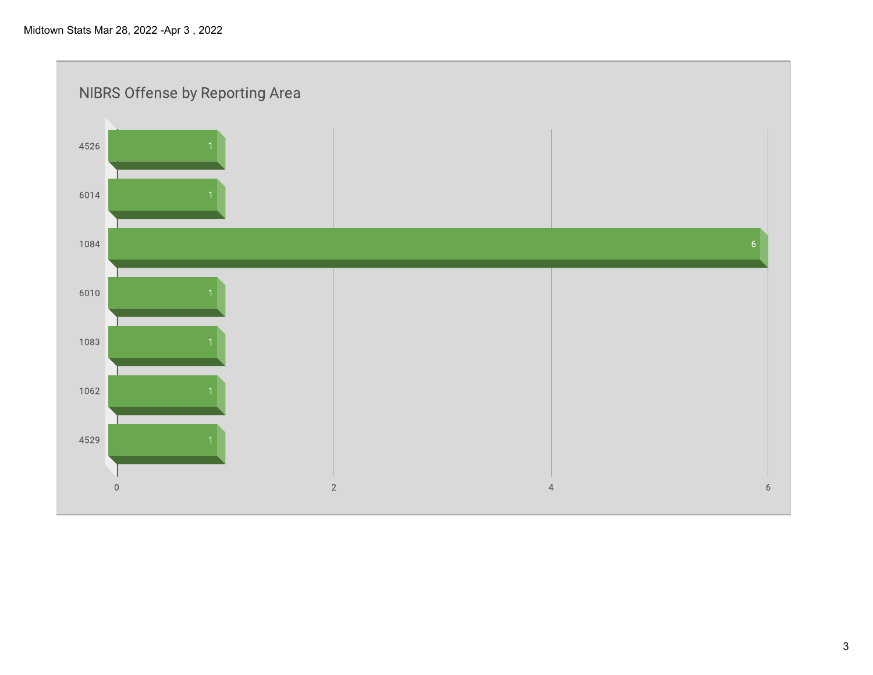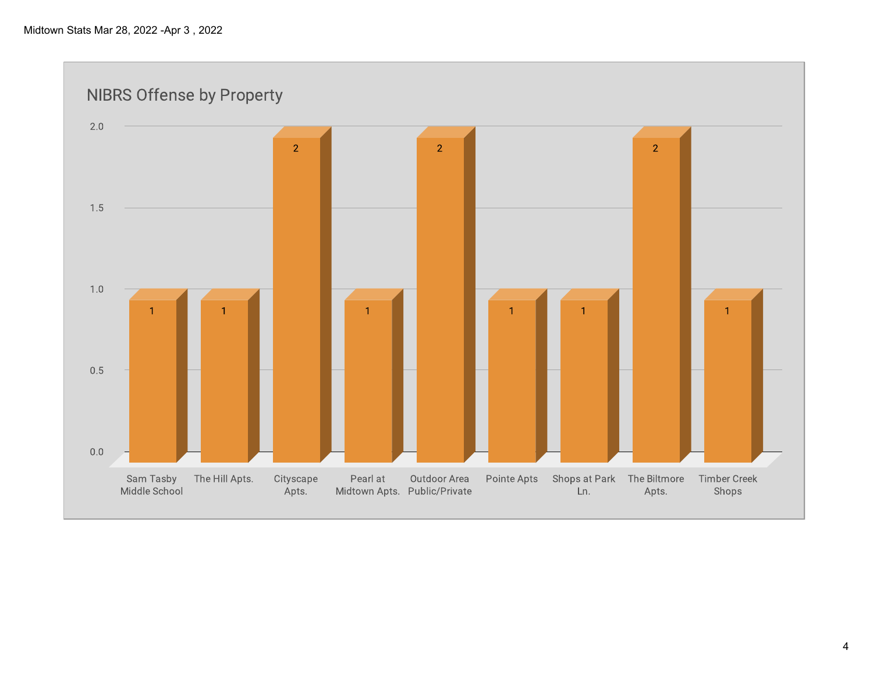**NIBRS Offense by Property**  $2.0$  $\overline{2}$  $\overline{2}$  $\overline{2}$ 1.5  $1.0$  $\overline{1}$  $0.5$  $0.0\,$ Sam Tasby The Hill Apts. Cityscape Pearl at Outdoor Area Pointe Apts Shops at Park The Biltmore **Timber Creek** Middle School Midtown Apts. Public/Private Apts. Shops Apts. Ln.